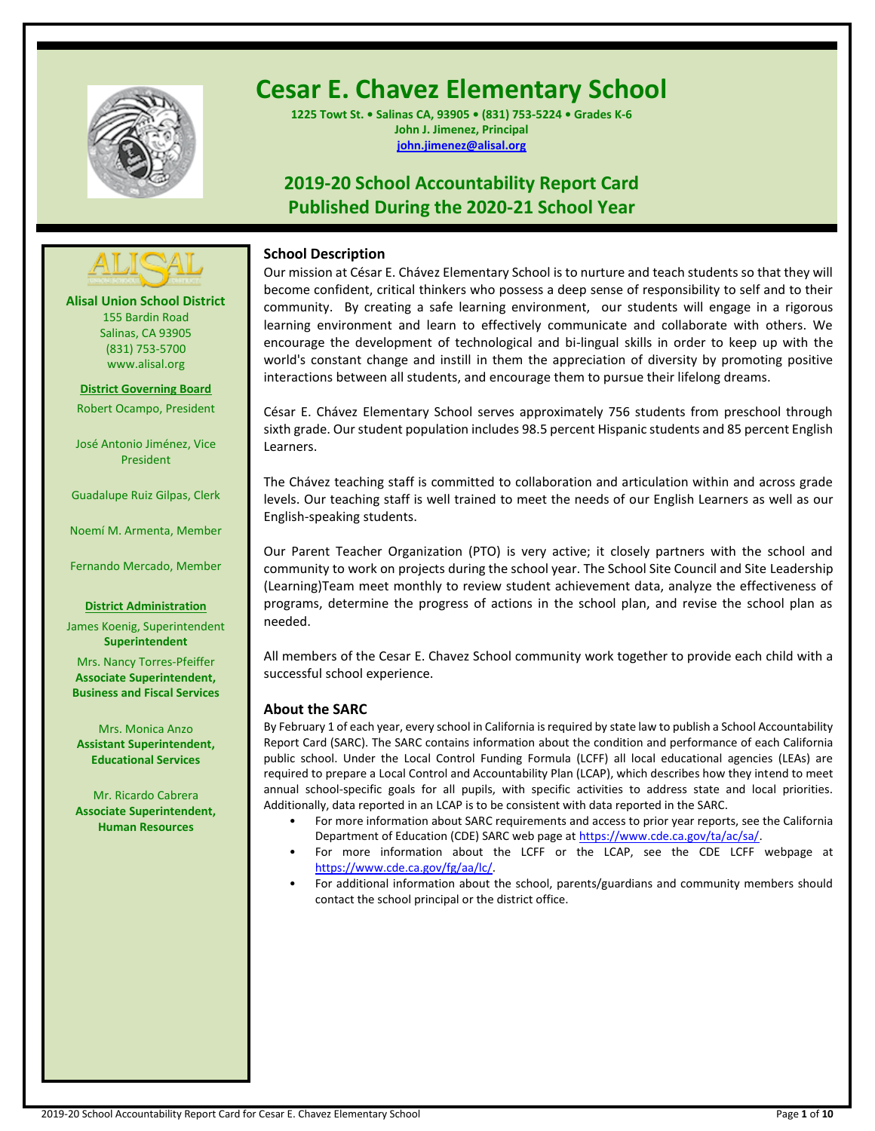

# **Cesar E. Chavez Elementary School**

**1225 Towt St. • Salinas CA, 93905 • (831) 753-5224 • Grades K-6 John J. Jimenez, Principal [john.jimenez@alisal.org](mailto:john.jimenez@alisal.org)**

## **2019-20 School Accountability Report Card Published During the 2020-21 School Year**



**Alisal Union School District** 155 Bardin Road Salinas, CA 93905 (831) 753-5700 www.alisal.org

**District Governing Board**

Robert Ocampo, President

José Antonio Jiménez, Vice President

Guadalupe Ruiz Gilpas, Clerk

Noemí M. Armenta, Member

Fernando Mercado, Member

#### **District Administration**

James Koenig, Superintendent **Superintendent**

Mrs. Nancy Torres-Pfeiffer **Associate Superintendent, Business and Fiscal Services**

Mrs. Monica Anzo **Assistant Superintendent, Educational Services**

Mr. Ricardo Cabrera **Associate Superintendent, Human Resources**

## **School Description**

Our mission at César E. Chávez Elementary School is to nurture and teach students so that they will become confident, critical thinkers who possess a deep sense of responsibility to self and to their community. By creating a safe learning environment, our students will engage in a rigorous learning environment and learn to effectively communicate and collaborate with others. We encourage the development of technological and bi-lingual skills in order to keep up with the world's constant change and instill in them the appreciation of diversity by promoting positive interactions between all students, and encourage them to pursue their lifelong dreams.

César E. Chávez Elementary School serves approximately 756 students from preschool through sixth grade. Our student population includes 98.5 percent Hispanic students and 85 percent English Learners.

The Chávez teaching staff is committed to collaboration and articulation within and across grade levels. Our teaching staff is well trained to meet the needs of our English Learners as well as our English-speaking students.

Our Parent Teacher Organization (PTO) is very active; it closely partners with the school and community to work on projects during the school year. The School Site Council and Site Leadership (Learning)Team meet monthly to review student achievement data, analyze the effectiveness of programs, determine the progress of actions in the school plan, and revise the school plan as needed.

All members of the Cesar E. Chavez School community work together to provide each child with a successful school experience.

## **About the SARC**

By February 1 of each year, every school in California is required by state law to publish a School Accountability Report Card (SARC). The SARC contains information about the condition and performance of each California public school. Under the Local Control Funding Formula (LCFF) all local educational agencies (LEAs) are required to prepare a Local Control and Accountability Plan (LCAP), which describes how they intend to meet annual school-specific goals for all pupils, with specific activities to address state and local priorities. Additionally, data reported in an LCAP is to be consistent with data reported in the SARC.

- For more information about SARC requirements and access to prior year reports, see the California Department of Education (CDE) SARC web page a[t https://www.cde.ca.gov/ta/ac/sa/.](https://www.cde.ca.gov/ta/ac/sa/)
- For more information about the LCFF or the LCAP, see the CDE LCFF webpage at [https://www.cde.ca.gov/fg/aa/lc/.](https://www.cde.ca.gov/fg/aa/lc/)
- For additional information about the school, parents/guardians and community members should contact the school principal or the district office.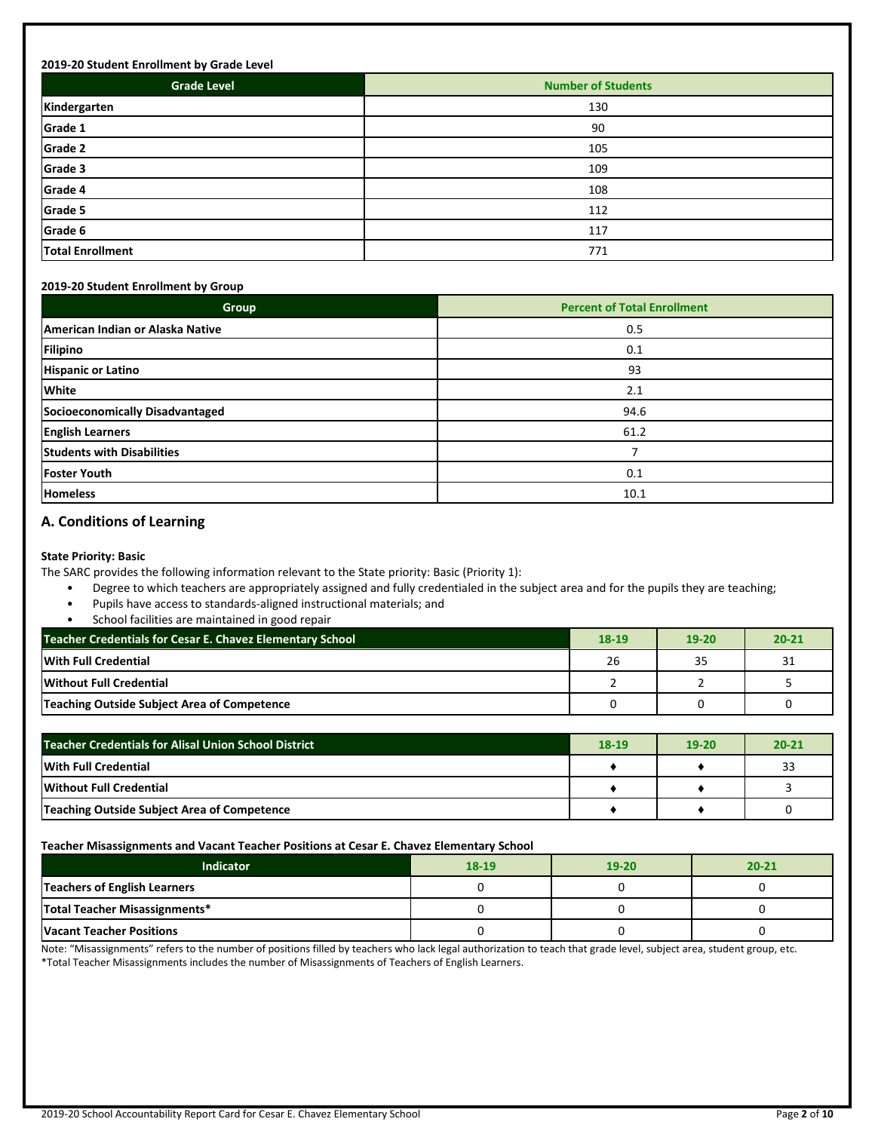| <b>Grade Level</b>      | <b>Number of Students</b> |
|-------------------------|---------------------------|
| Kindergarten            | 130                       |
| Grade 1                 | 90                        |
| Grade 2                 | 105                       |
| Grade 3                 | 109                       |
| Grade 4                 | 108                       |
| Grade 5                 | 112                       |
| Grade 6                 | 117                       |
| <b>Total Enrollment</b> | 771                       |

#### **2019-20 Student Enrollment by Group**

| Group                             | <b>Percent of Total Enrollment</b> |  |  |
|-----------------------------------|------------------------------------|--|--|
| American Indian or Alaska Native  | 0.5                                |  |  |
| <b>Filipino</b>                   | 0.1                                |  |  |
| <b>Hispanic or Latino</b>         | 93                                 |  |  |
| <b>White</b>                      | 2.1                                |  |  |
| Socioeconomically Disadvantaged   | 94.6                               |  |  |
| <b>English Learners</b>           | 61.2                               |  |  |
| <b>Students with Disabilities</b> |                                    |  |  |
| <b>Foster Youth</b>               | 0.1                                |  |  |
| <b>Homeless</b>                   | 10.1                               |  |  |

## **A. Conditions of Learning**

**State Priority: Basic**

The SARC provides the following information relevant to the State priority: Basic (Priority 1):

- Degree to which teachers are appropriately assigned and fully credentialed in the subject area and for the pupils they are teaching;
- Pupils have access to standards-aligned instructional materials; and
- School facilities are maintained in good repair

| Teacher Credentials for Cesar E. Chavez Elementary School | 18-19 | 19-20 | $20 - 21$ |
|-----------------------------------------------------------|-------|-------|-----------|
| With Full Credential                                      | 26    | 35    | 31        |
| Without Full Credential                                   |       |       |           |
| Teaching Outside Subject Area of Competence               |       |       |           |

| <b>Teacher Credentials for Alisal Union School District</b> |  | $19-20$ | $20 - 21$ |
|-------------------------------------------------------------|--|---------|-----------|
| <b>With Full Credential</b>                                 |  |         | 33        |
| Without Full Credential                                     |  |         |           |
| Teaching Outside Subject Area of Competence                 |  |         |           |

#### **Teacher Misassignments and Vacant Teacher Positions at Cesar E. Chavez Elementary School**

| Indicator                       | 18-19 | $19 - 20$ | $20 - 21$ |  |
|---------------------------------|-------|-----------|-----------|--|
| Teachers of English Learners    |       |           |           |  |
| Total Teacher Misassignments*   |       |           |           |  |
| <b>Vacant Teacher Positions</b> |       |           |           |  |

Note: "Misassignments" refers to the number of positions filled by teachers who lack legal authorization to teach that grade level, subject area, student group, etc. \*Total Teacher Misassignments includes the number of Misassignments of Teachers of English Learners.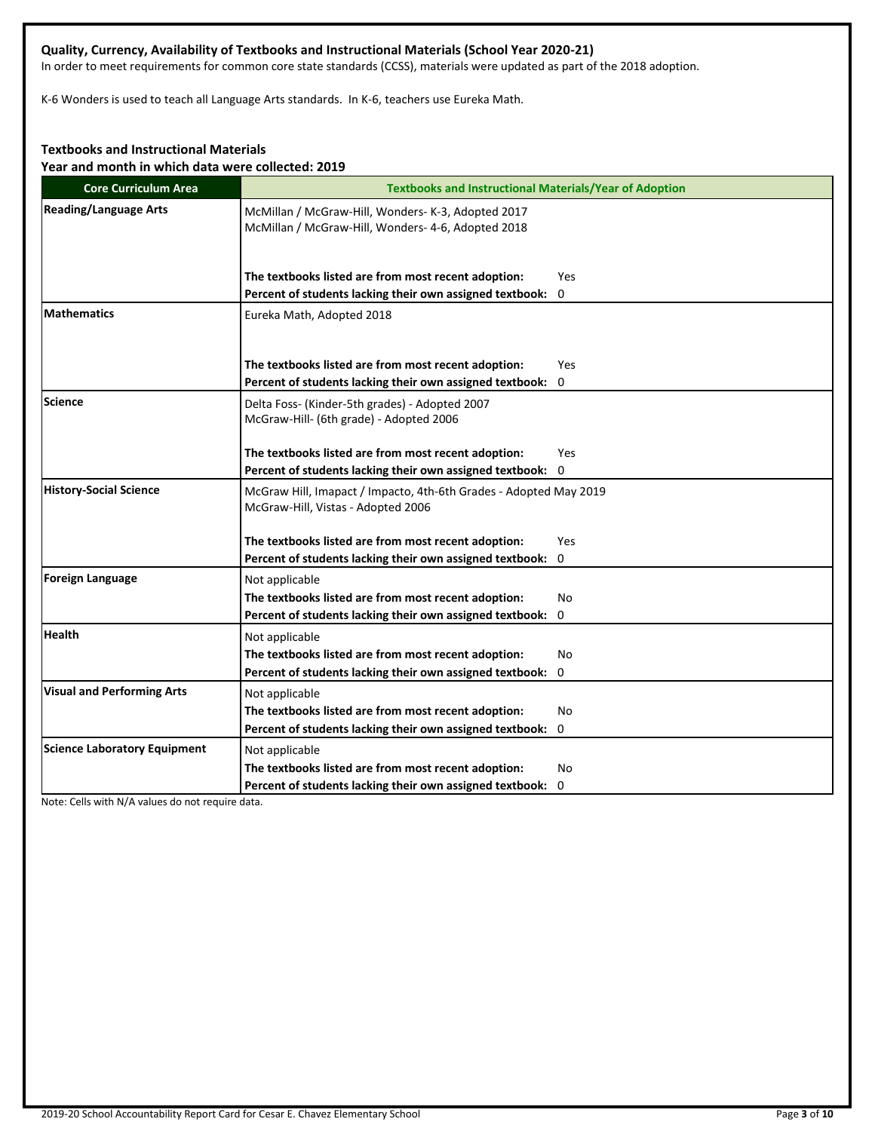## **Quality, Currency, Availability of Textbooks and Instructional Materials (School Year 2020-21)**

In order to meet requirements for common core state standards (CCSS), materials were updated as part of the 2018 adoption.

K-6 Wonders is used to teach all Language Arts standards. In K-6, teachers use Eureka Math.

## **Textbooks and Instructional Materials**

**Year and month in which data were collected: 2019**

| <b>Core Curriculum Area</b>         | <b>Textbooks and Instructional Materials/Year of Adoption</b>                                            |  |  |  |  |  |
|-------------------------------------|----------------------------------------------------------------------------------------------------------|--|--|--|--|--|
| <b>Reading/Language Arts</b>        | McMillan / McGraw-Hill, Wonders- K-3, Adopted 2017<br>McMillan / McGraw-Hill, Wonders- 4-6, Adopted 2018 |  |  |  |  |  |
|                                     | The textbooks listed are from most recent adoption:<br>Yes                                               |  |  |  |  |  |
|                                     | Percent of students lacking their own assigned textbook: 0                                               |  |  |  |  |  |
| <b>Mathematics</b>                  | Eureka Math, Adopted 2018                                                                                |  |  |  |  |  |
|                                     | The textbooks listed are from most recent adoption:<br>Yes                                               |  |  |  |  |  |
|                                     | Percent of students lacking their own assigned textbook:<br>0                                            |  |  |  |  |  |
| Science                             | Delta Foss- (Kinder-5th grades) - Adopted 2007<br>McGraw-Hill- (6th grade) - Adopted 2006                |  |  |  |  |  |
|                                     | The textbooks listed are from most recent adoption:<br>Yes                                               |  |  |  |  |  |
|                                     | Percent of students lacking their own assigned textbook: 0                                               |  |  |  |  |  |
| <b>History-Social Science</b>       | McGraw Hill, Imapact / Impacto, 4th-6th Grades - Adopted May 2019<br>McGraw-Hill, Vistas - Adopted 2006  |  |  |  |  |  |
|                                     | The textbooks listed are from most recent adoption:<br>Yes                                               |  |  |  |  |  |
|                                     | Percent of students lacking their own assigned textbook: 0                                               |  |  |  |  |  |
| Foreign Language                    | Not applicable                                                                                           |  |  |  |  |  |
|                                     | The textbooks listed are from most recent adoption:<br>No                                                |  |  |  |  |  |
|                                     | Percent of students lacking their own assigned textbook:<br>0                                            |  |  |  |  |  |
| <b>Health</b>                       | Not applicable                                                                                           |  |  |  |  |  |
|                                     | The textbooks listed are from most recent adoption:<br>No                                                |  |  |  |  |  |
|                                     | Percent of students lacking their own assigned textbook: 0                                               |  |  |  |  |  |
| <b>Visual and Performing Arts</b>   | Not applicable                                                                                           |  |  |  |  |  |
|                                     | The textbooks listed are from most recent adoption:<br>No                                                |  |  |  |  |  |
|                                     | Percent of students lacking their own assigned textbook: 0                                               |  |  |  |  |  |
| <b>Science Laboratory Equipment</b> | Not applicable                                                                                           |  |  |  |  |  |
|                                     | The textbooks listed are from most recent adoption:<br>No                                                |  |  |  |  |  |
|                                     | Percent of students lacking their own assigned textbook: 0                                               |  |  |  |  |  |

Note: Cells with N/A values do not require data.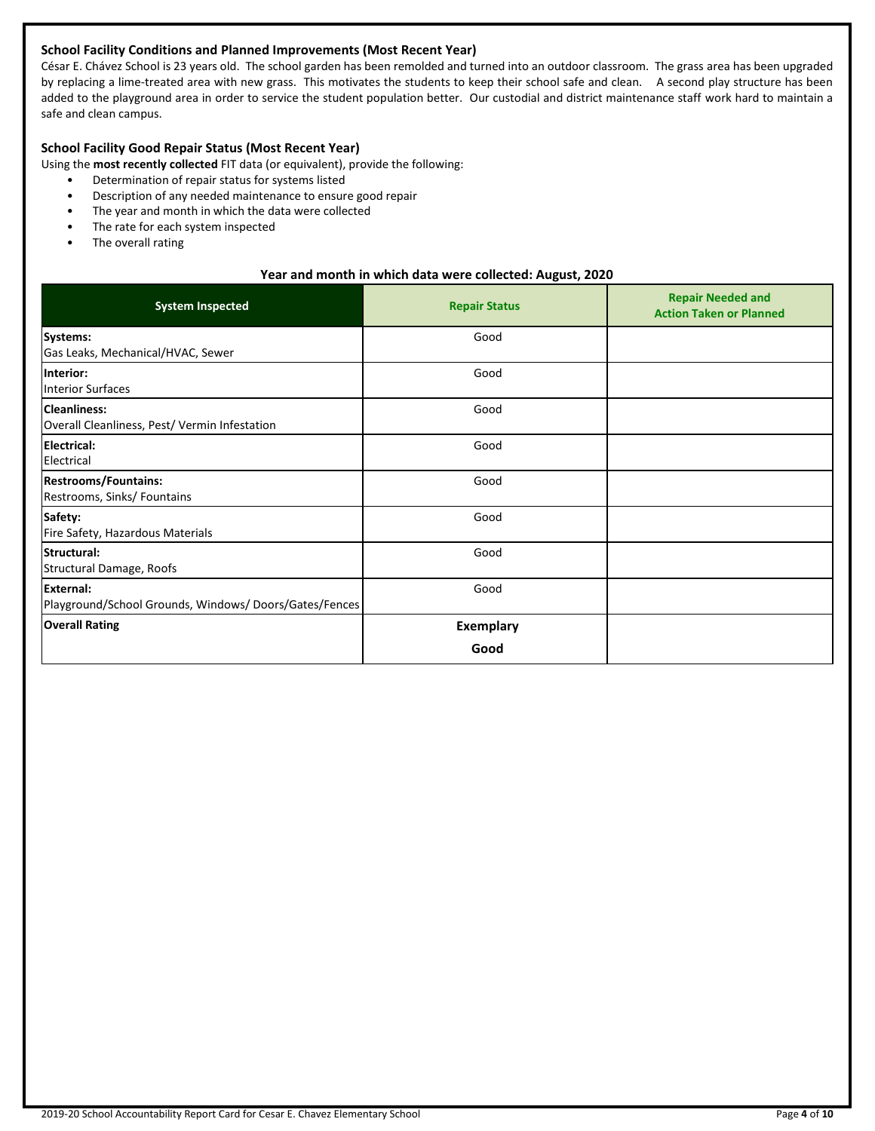## **School Facility Conditions and Planned Improvements (Most Recent Year)**

César E. Chávez School is 23 years old. The school garden has been remolded and turned into an outdoor classroom. The grass area has been upgraded by replacing a lime-treated area with new grass. This motivates the students to keep their school safe and clean. A second play structure has been added to the playground area in order to service the student population better. Our custodial and district maintenance staff work hard to maintain a safe and clean campus.

## **School Facility Good Repair Status (Most Recent Year)**

Using the **most recently collected** FIT data (or equivalent), provide the following:

- Determination of repair status for systems listed
- Description of any needed maintenance to ensure good repair
- The year and month in which the data were collected
- The rate for each system inspected
- The overall rating

#### **Year and month in which data were collected: August, 2020**

| <b>System Inspected</b>                                                   | <b>Repair Status</b> | <b>Repair Needed and</b><br><b>Action Taken or Planned</b> |
|---------------------------------------------------------------------------|----------------------|------------------------------------------------------------|
| Systems:<br>Gas Leaks, Mechanical/HVAC, Sewer                             | Good                 |                                                            |
| Interior:<br><b>Interior Surfaces</b>                                     | Good                 |                                                            |
| <b>Cleanliness:</b><br>Overall Cleanliness, Pest/ Vermin Infestation      | Good                 |                                                            |
| <b>Electrical:</b><br>Electrical                                          | Good                 |                                                            |
| <b>Restrooms/Fountains:</b><br>Restrooms, Sinks/ Fountains                | Good                 |                                                            |
| Safety:<br>Fire Safety, Hazardous Materials                               | Good                 |                                                            |
| Structural:<br>Structural Damage, Roofs                                   | Good                 |                                                            |
| <b>External:</b><br>Playground/School Grounds, Windows/Doors/Gates/Fences | Good                 |                                                            |
| <b>Overall Rating</b>                                                     | <b>Exemplary</b>     |                                                            |
|                                                                           | Good                 |                                                            |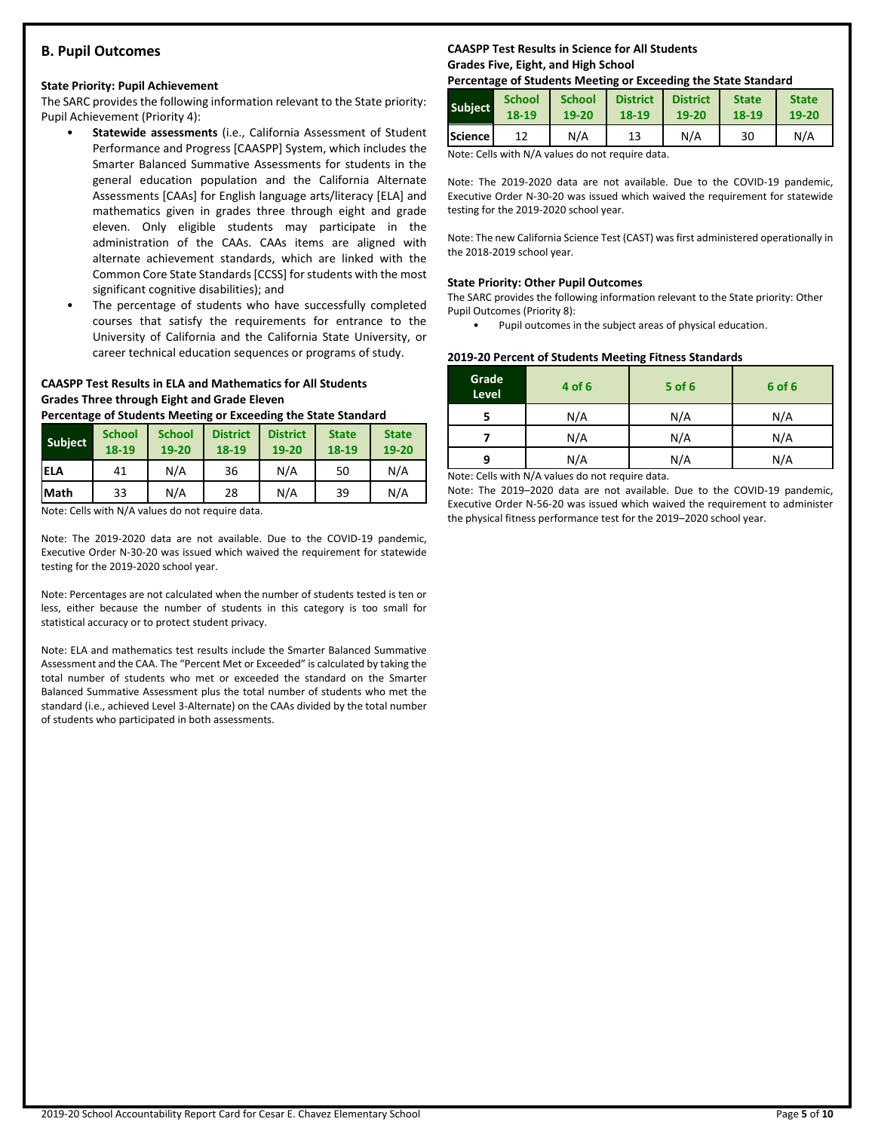## **B. Pupil Outcomes**

#### **State Priority: Pupil Achievement**

The SARC provides the following information relevant to the State priority: Pupil Achievement (Priority 4):

- **Statewide assessments** (i.e., California Assessment of Student Performance and Progress [CAASPP] System, which includes the Smarter Balanced Summative Assessments for students in the general education population and the California Alternate Assessments [CAAs] for English language arts/literacy [ELA] and mathematics given in grades three through eight and grade eleven. Only eligible students may participate in the administration of the CAAs. CAAs items are aligned with alternate achievement standards, which are linked with the Common Core State Standards [CCSS] for students with the most significant cognitive disabilities); and
- The percentage of students who have successfully completed courses that satisfy the requirements for entrance to the University of California and the California State University, or career technical education sequences or programs of study.

#### **CAASPP Test Results in ELA and Mathematics for All Students Grades Three through Eight and Grade Eleven**

**Percentage of Students Meeting or Exceeding the State Standard**

| <b>Subject</b> | <b>School</b><br>18-19 | <b>School</b><br>19-20 | <b>District</b><br>18-19 | <b>District</b><br>19-20 | <b>State</b><br>18-19 | <b>State</b><br>19-20 |
|----------------|------------------------|------------------------|--------------------------|--------------------------|-----------------------|-----------------------|
| <b>IELA</b>    | 41                     | N/A                    | 36                       | N/A                      | 50                    | N/A                   |
| <b>Math</b>    | 33                     | N/A                    | 28                       | N/A                      | 39                    | N/A                   |

Note: Cells with N/A values do not require data.

Note: The 2019-2020 data are not available. Due to the COVID-19 pandemic, Executive Order N-30-20 was issued which waived the requirement for statewide testing for the 2019-2020 school year.

Note: Percentages are not calculated when the number of students tested is ten or less, either because the number of students in this category is too small for statistical accuracy or to protect student privacy.

Note: ELA and mathematics test results include the Smarter Balanced Summative Assessment and the CAA. The "Percent Met or Exceeded" is calculated by taking the total number of students who met or exceeded the standard on the Smarter Balanced Summative Assessment plus the total number of students who met the standard (i.e., achieved Level 3-Alternate) on the CAAs divided by the total number of students who participated in both assessments.

## **CAASPP Test Results in Science for All Students Grades Five, Eight, and High School**

#### **Percentage of Students Meeting or Exceeding the State Standard**

| <b>Subject</b> | <b>School</b> | <b>School</b> | <b>District</b> | <b>District</b> | <b>State</b> | <b>State</b> |
|----------------|---------------|---------------|-----------------|-----------------|--------------|--------------|
|                | 18-19         | 19-20         | 18-19           | 19-20           | 18-19        | 19-20        |
| <b>Science</b> |               | N/A           | 13              | N/A             | 30           | N/A          |

Note: Cells with N/A values do not require data.

Note: The 2019-2020 data are not available. Due to the COVID-19 pandemic, Executive Order N-30-20 was issued which waived the requirement for statewide testing for the 2019-2020 school year.

Note: The new California Science Test (CAST) was first administered operationally in the 2018-2019 school year.

#### **State Priority: Other Pupil Outcomes**

The SARC provides the following information relevant to the State priority: Other Pupil Outcomes (Priority 8):

Pupil outcomes in the subject areas of physical education.

#### **2019-20 Percent of Students Meeting Fitness Standards**

| Grade<br>Level | 4 of 6                                                                                                                                                                                                                                    | $5$ of 6 | 6 of 6 |
|----------------|-------------------------------------------------------------------------------------------------------------------------------------------------------------------------------------------------------------------------------------------|----------|--------|
|                | N/A                                                                                                                                                                                                                                       | N/A      | N/A    |
|                | N/A                                                                                                                                                                                                                                       | N/A      | N/A    |
| q              | N/A                                                                                                                                                                                                                                       | N/A      | N/A    |
|                | $\mathbf{A}$ is a set of $\mathbf{A}$ if the set of $\mathbf{A}$ and is a set of the set of the set of the set of the set of the set of the set of the set of the set of the set of the set of the set of the set of the set of the set o |          |        |

Note: Cells with N/A values do not require data.

Note: The 2019–2020 data are not available. Due to the COVID-19 pandemic, Executive Order N-56-20 was issued which waived the requirement to administer the physical fitness performance test for the 2019–2020 school year.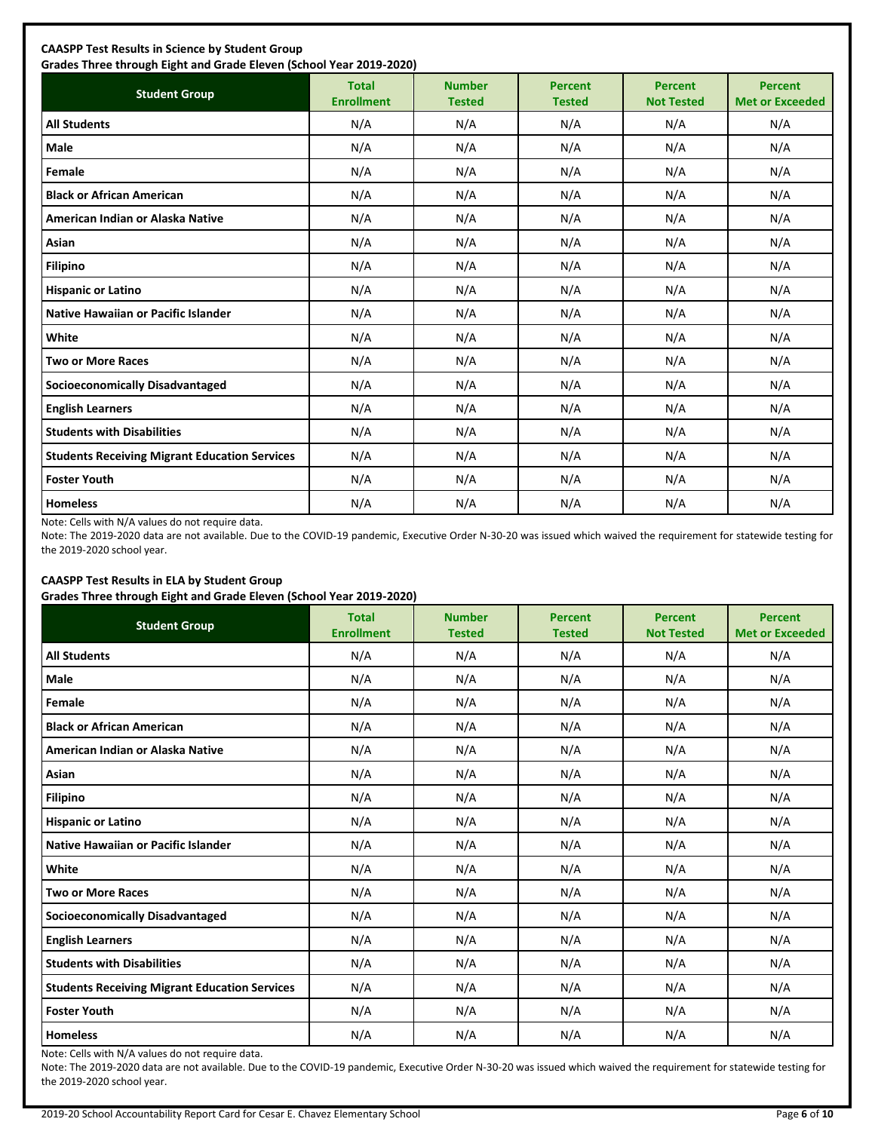| <b>Student Group</b>                                 | <b>Total</b><br><b>Enrollment</b> | <b>Number</b><br><b>Tested</b> | <b>Percent</b><br><b>Tested</b> | <b>Percent</b><br><b>Not Tested</b> | <b>Percent</b><br><b>Met or Exceeded</b> |
|------------------------------------------------------|-----------------------------------|--------------------------------|---------------------------------|-------------------------------------|------------------------------------------|
| <b>All Students</b>                                  | N/A                               | N/A                            | N/A                             | N/A                                 | N/A                                      |
| Male                                                 | N/A                               | N/A                            | N/A                             | N/A                                 | N/A                                      |
| Female                                               | N/A                               | N/A                            | N/A                             | N/A                                 | N/A                                      |
| <b>Black or African American</b>                     | N/A                               | N/A                            | N/A                             | N/A                                 | N/A                                      |
| American Indian or Alaska Native                     | N/A                               | N/A                            | N/A                             | N/A                                 | N/A                                      |
| Asian                                                | N/A                               | N/A                            | N/A                             | N/A                                 | N/A                                      |
| <b>Filipino</b>                                      | N/A                               | N/A                            | N/A                             | N/A                                 | N/A                                      |
| <b>Hispanic or Latino</b>                            | N/A                               | N/A                            | N/A                             | N/A                                 | N/A                                      |
| <b>Native Hawaiian or Pacific Islander</b>           | N/A                               | N/A                            | N/A                             | N/A                                 | N/A                                      |
| White                                                | N/A                               | N/A                            | N/A                             | N/A                                 | N/A                                      |
| <b>Two or More Races</b>                             | N/A                               | N/A                            | N/A                             | N/A                                 | N/A                                      |
| <b>Socioeconomically Disadvantaged</b>               | N/A                               | N/A                            | N/A                             | N/A                                 | N/A                                      |
| <b>English Learners</b>                              | N/A                               | N/A                            | N/A                             | N/A                                 | N/A                                      |
| <b>Students with Disabilities</b>                    | N/A                               | N/A                            | N/A                             | N/A                                 | N/A                                      |
| <b>Students Receiving Migrant Education Services</b> | N/A                               | N/A                            | N/A                             | N/A                                 | N/A                                      |
| <b>Foster Youth</b>                                  | N/A                               | N/A                            | N/A                             | N/A                                 | N/A                                      |
| <b>Homeless</b>                                      | N/A                               | N/A                            | N/A                             | N/A                                 | N/A                                      |

Note: Cells with N/A values do not require data.

Note: The 2019-2020 data are not available. Due to the COVID-19 pandemic, Executive Order N-30-20 was issued which waived the requirement for statewide testing for the 2019-2020 school year.

## **CAASPP Test Results in ELA by Student Group**

**Grades Three through Eight and Grade Eleven (School Year 2019-2020)**

| <b>Student Group</b>                                 | <b>Total</b><br><b>Enrollment</b> | <b>Number</b><br><b>Tested</b> | <b>Percent</b><br><b>Tested</b> | <b>Percent</b><br><b>Not Tested</b> | <b>Percent</b><br><b>Met or Exceeded</b> |
|------------------------------------------------------|-----------------------------------|--------------------------------|---------------------------------|-------------------------------------|------------------------------------------|
| <b>All Students</b>                                  | N/A                               | N/A                            | N/A                             | N/A                                 | N/A                                      |
| Male                                                 | N/A                               | N/A                            | N/A                             | N/A                                 | N/A                                      |
| Female                                               | N/A                               | N/A                            | N/A                             | N/A                                 | N/A                                      |
| <b>Black or African American</b>                     | N/A                               | N/A                            | N/A                             | N/A                                 | N/A                                      |
| American Indian or Alaska Native                     | N/A                               | N/A                            | N/A                             | N/A                                 | N/A                                      |
| Asian                                                | N/A                               | N/A                            | N/A                             | N/A                                 | N/A                                      |
| <b>Filipino</b>                                      | N/A                               | N/A                            | N/A                             | N/A                                 | N/A                                      |
| <b>Hispanic or Latino</b>                            | N/A                               | N/A                            | N/A                             | N/A                                 | N/A                                      |
| Native Hawaiian or Pacific Islander                  | N/A                               | N/A                            | N/A                             | N/A                                 | N/A                                      |
| White                                                | N/A                               | N/A                            | N/A                             | N/A                                 | N/A                                      |
| <b>Two or More Races</b>                             | N/A                               | N/A                            | N/A                             | N/A                                 | N/A                                      |
| <b>Socioeconomically Disadvantaged</b>               | N/A                               | N/A                            | N/A                             | N/A                                 | N/A                                      |
| <b>English Learners</b>                              | N/A                               | N/A                            | N/A                             | N/A                                 | N/A                                      |
| <b>Students with Disabilities</b>                    | N/A                               | N/A                            | N/A                             | N/A                                 | N/A                                      |
| <b>Students Receiving Migrant Education Services</b> | N/A                               | N/A                            | N/A                             | N/A                                 | N/A                                      |
| <b>Foster Youth</b>                                  | N/A                               | N/A                            | N/A                             | N/A                                 | N/A                                      |
| <b>Homeless</b>                                      | N/A                               | N/A                            | N/A                             | N/A                                 | N/A                                      |

Note: Cells with N/A values do not require data.

Note: The 2019-2020 data are not available. Due to the COVID-19 pandemic, Executive Order N-30-20 was issued which waived the requirement for statewide testing for the 2019-2020 school year.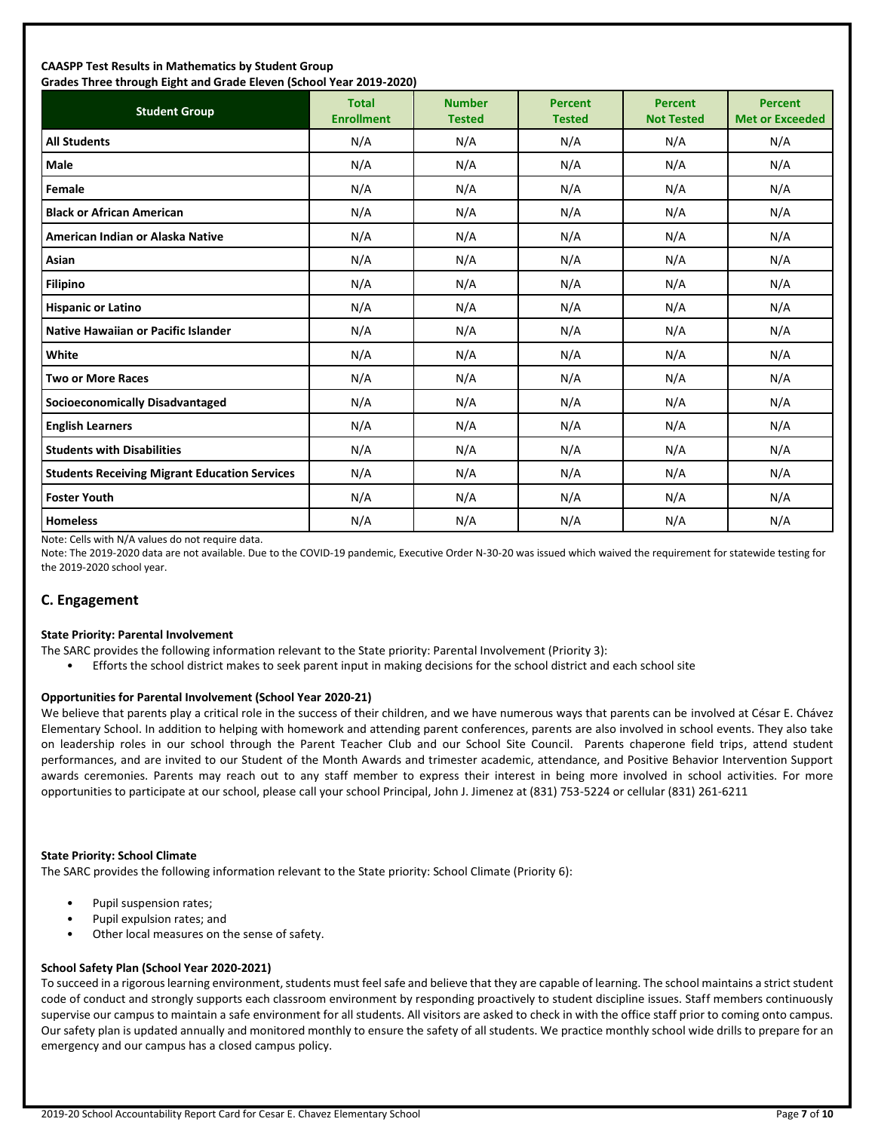#### **CAASPP Test Results in Mathematics by Student Group Grades Three through Eight and Grade Eleven (School Year 2019-2020)**

| <b>Student Group</b>                                 | <b>Total</b><br><b>Enrollment</b> | <b>Number</b><br><b>Tested</b> | <b>Percent</b><br><b>Tested</b> | <b>Percent</b><br><b>Not Tested</b> | <b>Percent</b><br><b>Met or Exceeded</b> |
|------------------------------------------------------|-----------------------------------|--------------------------------|---------------------------------|-------------------------------------|------------------------------------------|
| <b>All Students</b>                                  | N/A                               | N/A                            | N/A                             | N/A                                 | N/A                                      |
| <b>Male</b>                                          | N/A                               | N/A                            | N/A                             | N/A                                 | N/A                                      |
| Female                                               | N/A                               | N/A                            | N/A                             | N/A                                 | N/A                                      |
| <b>Black or African American</b>                     | N/A                               | N/A                            | N/A                             | N/A                                 | N/A                                      |
| American Indian or Alaska Native                     | N/A                               | N/A                            | N/A                             | N/A                                 | N/A                                      |
| Asian                                                | N/A                               | N/A                            | N/A                             | N/A                                 | N/A                                      |
| <b>Filipino</b>                                      | N/A                               | N/A                            | N/A                             | N/A                                 | N/A                                      |
| <b>Hispanic or Latino</b>                            | N/A                               | N/A                            | N/A                             | N/A                                 | N/A                                      |
| <b>Native Hawaiian or Pacific Islander</b>           | N/A                               | N/A                            | N/A                             | N/A                                 | N/A                                      |
| White                                                | N/A                               | N/A                            | N/A                             | N/A                                 | N/A                                      |
| <b>Two or More Races</b>                             | N/A                               | N/A                            | N/A                             | N/A                                 | N/A                                      |
| <b>Socioeconomically Disadvantaged</b>               | N/A                               | N/A                            | N/A                             | N/A                                 | N/A                                      |
| <b>English Learners</b>                              | N/A                               | N/A                            | N/A                             | N/A                                 | N/A                                      |
| <b>Students with Disabilities</b>                    | N/A                               | N/A                            | N/A                             | N/A                                 | N/A                                      |
| <b>Students Receiving Migrant Education Services</b> | N/A                               | N/A                            | N/A                             | N/A                                 | N/A                                      |
| <b>Foster Youth</b>                                  | N/A                               | N/A                            | N/A                             | N/A                                 | N/A                                      |
| <b>Homeless</b>                                      | N/A                               | N/A                            | N/A                             | N/A                                 | N/A                                      |

Note: Cells with N/A values do not require data.

Note: The 2019-2020 data are not available. Due to the COVID-19 pandemic, Executive Order N-30-20 was issued which waived the requirement for statewide testing for the 2019-2020 school year.

## **C. Engagement**

#### **State Priority: Parental Involvement**

- The SARC provides the following information relevant to the State priority: Parental Involvement (Priority 3):
	- Efforts the school district makes to seek parent input in making decisions for the school district and each school site

#### **Opportunities for Parental Involvement (School Year 2020-21)**

We believe that parents play a critical role in the success of their children, and we have numerous ways that parents can be involved at César E. Chávez Elementary School. In addition to helping with homework and attending parent conferences, parents are also involved in school events. They also take on leadership roles in our school through the Parent Teacher Club and our School Site Council. Parents chaperone field trips, attend student performances, and are invited to our Student of the Month Awards and trimester academic, attendance, and Positive Behavior Intervention Support awards ceremonies. Parents may reach out to any staff member to express their interest in being more involved in school activities. For more opportunities to participate at our school, please call your school Principal, John J. Jimenez at (831) 753-5224 or cellular (831) 261-6211

#### **State Priority: School Climate**

The SARC provides the following information relevant to the State priority: School Climate (Priority 6):

- Pupil suspension rates;
- Pupil expulsion rates; and
- Other local measures on the sense of safety.

#### **School Safety Plan (School Year 2020-2021)**

To succeed in a rigorous learning environment, students must feel safe and believe that they are capable of learning. The school maintains a strict student code of conduct and strongly supports each classroom environment by responding proactively to student discipline issues. Staff members continuously supervise our campus to maintain a safe environment for all students. All visitors are asked to check in with the office staff prior to coming onto campus. Our safety plan is updated annually and monitored monthly to ensure the safety of all students. We practice monthly school wide drills to prepare for an emergency and our campus has a closed campus policy.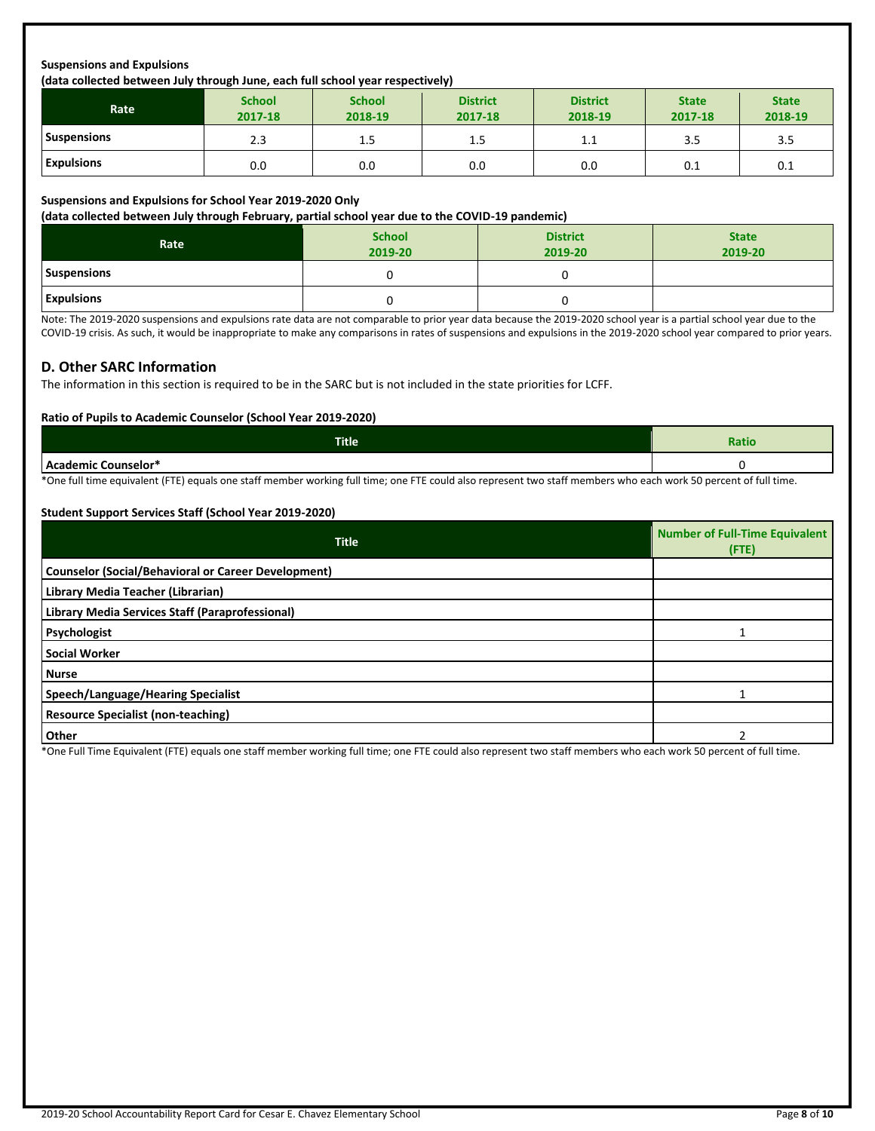## **Suspensions and Expulsions**

#### **(data collected between July through June, each full school year respectively)**

| <b>Rate</b>        | <b>School</b><br>2017-18 | <b>School</b><br>2018-19 | <b>District</b><br>2017-18 | <b>District</b><br>2018-19 | <b>State</b><br>2017-18 | <b>State</b><br>2018-19 |
|--------------------|--------------------------|--------------------------|----------------------------|----------------------------|-------------------------|-------------------------|
| <b>Suspensions</b> | 2.3                      | 1.5                      | 1.5                        | 1.1                        | 3.5                     | 3.5                     |
| <b>Expulsions</b>  | 0.0                      | 0.0                      | 0.0                        | 0.0                        | 0.1                     | 0.1                     |

#### **Suspensions and Expulsions for School Year 2019-2020 Only**

**(data collected between July through February, partial school year due to the COVID-19 pandemic)**

| Rate               | <b>School</b><br>2019-20 | <b>District</b><br>2019-20 | <b>State</b><br>2019-20 |
|--------------------|--------------------------|----------------------------|-------------------------|
| <b>Suspensions</b> |                          |                            |                         |
| <b>Expulsions</b>  |                          |                            |                         |

Note: The 2019-2020 suspensions and expulsions rate data are not comparable to prior year data because the 2019-2020 school year is a partial school year due to the COVID-19 crisis. As such, it would be inappropriate to make any comparisons in rates of suspensions and expulsions in the 2019-2020 school year compared to prior years.

#### **D. Other SARC Information**

The information in this section is required to be in the SARC but is not included in the state priorities for LCFF.

#### **Ratio of Pupils to Academic Counselor (School Year 2019-2020)**

| <b>Title</b>                         | Ratio |
|--------------------------------------|-------|
| Counselor*<br>emic (<br>$ -$<br>$ -$ |       |

\*One full time equivalent (FTE) equals one staff member working full time; one FTE could also represent two staff members who each work 50 percent of full time.

#### **Student Support Services Staff (School Year 2019-2020)**

| <b>Title</b>                                               | <b>Number of Full-Time Equivalent</b><br>$($ FTE $)$ |
|------------------------------------------------------------|------------------------------------------------------|
| <b>Counselor (Social/Behavioral or Career Development)</b> |                                                      |
| Library Media Teacher (Librarian)                          |                                                      |
| Library Media Services Staff (Paraprofessional)            |                                                      |
| Psychologist                                               |                                                      |
| <b>Social Worker</b>                                       |                                                      |
| Nurse                                                      |                                                      |
| Speech/Language/Hearing Specialist                         |                                                      |
| <b>Resource Specialist (non-teaching)</b>                  |                                                      |
| <b>Other</b>                                               |                                                      |

\*One Full Time Equivalent (FTE) equals one staff member working full time; one FTE could also represent two staff members who each work 50 percent of full time.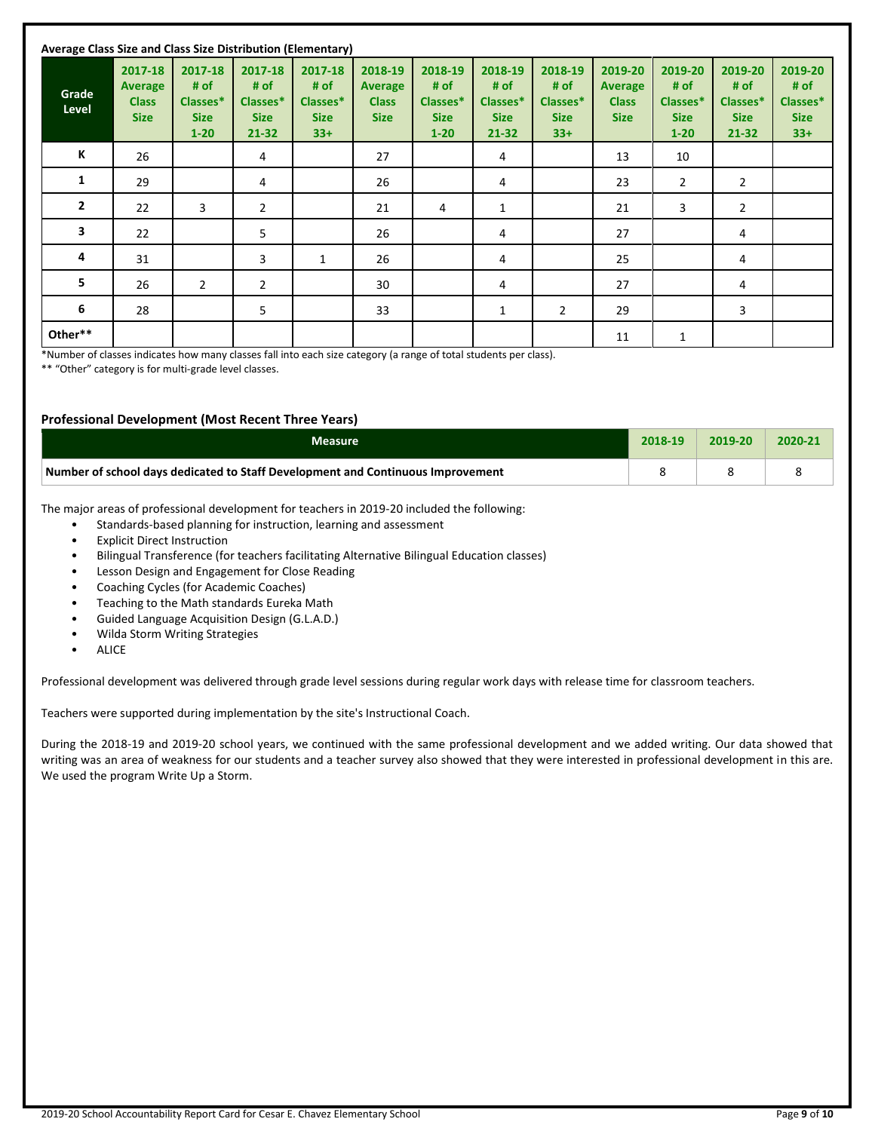| Average Class Size and Class Size Distribution (Elementary) |                                                   |                                                        |                                                     |                                                     |                                                   |                                                        |                                                     |                                                     |                                                          |                                                        |                                                         |                                                     |
|-------------------------------------------------------------|---------------------------------------------------|--------------------------------------------------------|-----------------------------------------------------|-----------------------------------------------------|---------------------------------------------------|--------------------------------------------------------|-----------------------------------------------------|-----------------------------------------------------|----------------------------------------------------------|--------------------------------------------------------|---------------------------------------------------------|-----------------------------------------------------|
| Grade<br>Level                                              | 2017-18<br>Average<br><b>Class</b><br><b>Size</b> | 2017-18<br># of<br>Classes*<br><b>Size</b><br>$1 - 20$ | 2017-18<br># of<br>Classes*<br><b>Size</b><br>21-32 | 2017-18<br># of<br>Classes*<br><b>Size</b><br>$33+$ | 2018-19<br>Average<br><b>Class</b><br><b>Size</b> | 2018-19<br># of<br>Classes*<br><b>Size</b><br>$1 - 20$ | 2018-19<br># of<br>Classes*<br><b>Size</b><br>21-32 | 2018-19<br># of<br>Classes*<br><b>Size</b><br>$33+$ | 2019-20<br><b>Average</b><br><b>Class</b><br><b>Size</b> | 2019-20<br># of<br>Classes*<br><b>Size</b><br>$1 - 20$ | 2019-20<br># of<br>Classes*<br><b>Size</b><br>$21 - 32$ | 2019-20<br># of<br>Classes*<br><b>Size</b><br>$33+$ |
| К                                                           | 26                                                |                                                        | 4                                                   |                                                     | 27                                                |                                                        | 4                                                   |                                                     | 13                                                       | 10                                                     |                                                         |                                                     |
| 1                                                           | 29                                                |                                                        | 4                                                   |                                                     | 26                                                |                                                        | 4                                                   |                                                     | 23                                                       | $\overline{2}$                                         | $\overline{2}$                                          |                                                     |
| $\overline{2}$                                              | 22                                                | 3                                                      | $\overline{2}$                                      |                                                     | 21                                                | 4                                                      | 1                                                   |                                                     | 21                                                       | 3                                                      | $\overline{2}$                                          |                                                     |
| 3                                                           | 22                                                |                                                        | 5                                                   |                                                     | 26                                                |                                                        | 4                                                   |                                                     | 27                                                       |                                                        | 4                                                       |                                                     |
| 4                                                           | 31                                                |                                                        | 3                                                   | $\mathbf{1}$                                        | 26                                                |                                                        | 4                                                   |                                                     | 25                                                       |                                                        | 4                                                       |                                                     |
| 5                                                           | 26                                                | $\overline{2}$                                         | 2                                                   |                                                     | 30                                                |                                                        | 4                                                   |                                                     | 27                                                       |                                                        | 4                                                       |                                                     |
| 6                                                           | 28                                                |                                                        | 5                                                   |                                                     | 33                                                |                                                        | 1                                                   | $\overline{2}$                                      | 29                                                       |                                                        | 3                                                       |                                                     |
| Other**                                                     |                                                   |                                                        |                                                     |                                                     |                                                   |                                                        |                                                     |                                                     | 11                                                       | 1                                                      |                                                         |                                                     |

\*Number of classes indicates how many classes fall into each size category (a range of total students per class).

\*\* "Other" category is for multi-grade level classes.

#### **Professional Development (Most Recent Three Years)**

| Measure                                                                         | 2018-19 | 2019-20 | $2020 - 21$ |
|---------------------------------------------------------------------------------|---------|---------|-------------|
| Number of school days dedicated to Staff Development and Continuous Improvement |         |         |             |

The major areas of professional development for teachers in 2019-20 included the following:

- Standards-based planning for instruction, learning and assessment
- **Explicit Direct Instruction**
- Bilingual Transference (for teachers facilitating Alternative Bilingual Education classes)
- Lesson Design and Engagement for Close Reading
- Coaching Cycles (for Academic Coaches)
- Teaching to the Math standards Eureka Math
- Guided Language Acquisition Design (G.L.A.D.)
- Wilda Storm Writing Strategies
- ALICE

Professional development was delivered through grade level sessions during regular work days with release time for classroom teachers.

Teachers were supported during implementation by the site's Instructional Coach.

During the 2018-19 and 2019-20 school years, we continued with the same professional development and we added writing. Our data showed that writing was an area of weakness for our students and a teacher survey also showed that they were interested in professional development in this are. We used the program Write Up a Storm.